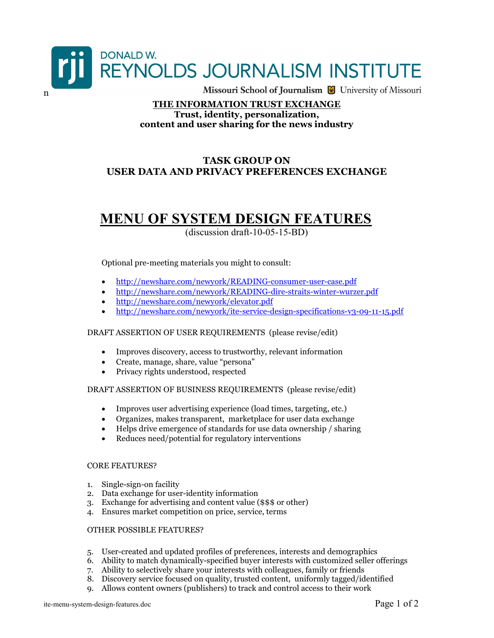

### THE INFORMATION TRUST EXCHANGE Trust, identity, personalization, content and user sharing for the news industry

## TASK GROUP ON USER DATA AND PRIVACY PREFERENCES EXCHANGE

# MENU OF SYSTEM DESIGN FEATURES

(discussion draft-10-05-15-BD)

Optional pre-meeting materials you might to consult:

- http://newshare.com/newyork/READING-consumer-user-case.pdf
- http://newshare.com/newyork/READING-dire-straits-winter-wurzer.pdf
- http://newshare.com/newyork/elevator.pdf
- http://newshare.com/newyork/ite-service-design-specifications-v3-09-11-15.pdf

DRAFT ASSERTION OF USER REQUIREMENTS (please revise/edit)

- Improves discovery, access to trustworthy, relevant information
- Create, manage, share, value "persona"
- Privacy rights understood, respected

DRAFT ASSERTION OF BUSINESS REQUIREMENTS (please revise/edit)

- Improves user advertising experience (load times, targeting, etc.)
- Organizes, makes transparent, marketplace for user data exchange
- Helps drive emergence of standards for use data ownership / sharing
- Reduces need/potential for regulatory interventions

#### CORE FEATURES?

- 1. Single-sign-on facility
- 2. Data exchange for user-identity information
- 3. Exchange for advertising and content value (\$\$\$ or other)
- 4. Ensures market competition on price, service, terms

#### OTHER POSSIBLE FEATURES?

- 5. User-created and updated profiles of preferences, interests and demographics
- 6. Ability to match dynamically-specified buyer interests with customized seller offerings
- 7. Ability to selectively share your interests with colleagues, family or friends
- 8. Discovery service focused on quality, trusted content, uniformly tagged/identified
- 9. Allows content owners (publishers) to track and control access to their work